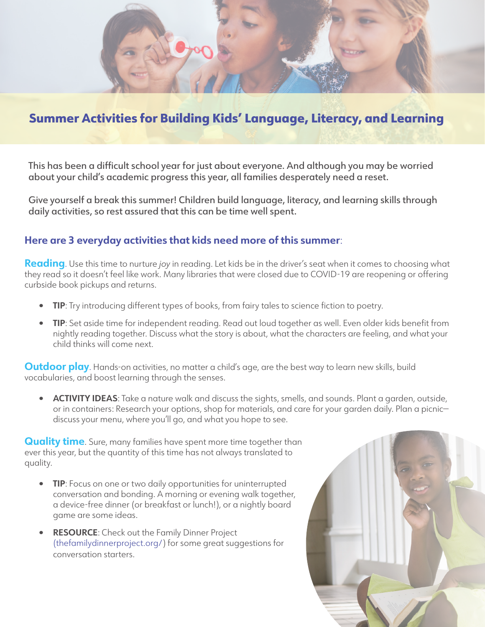

## Summer Activities for Building Kids' Language, Literacy, and Learning

This has been a difficult school year for just about everyone. And although you may be worried about your child's academic progress this year, all families desperately need a reset.

Give yourself a break this summer! Children build language, literacy, and learning skills through daily activities, so rest assured that this can be time well spent.

## **Here are 3 everyday activities that kids need more of this summer**:

**Reading**. Use this time to nurture *joy* in reading. Let kids be in the driver's seat when it comes to choosing what they read so it doesn't feel like work. Many libraries that were closed due to COVID-19 are reopening or offering curbside book pickups and returns.

- **• TIP**: Try introducing different types of books, from fairy tales to science fiction to poetry.
- **• TIP**: Set aside time for independent reading. Read out loud together as well. Even older kids benefit from nightly reading together. Discuss what the story is about, what the characters are feeling, and what your child thinks will come next.

**Outdoor play**. Hands-on activities, no matter a child's age, are the best way to learn new skills, build vocabularies, and boost learning through the senses.

**• ACTIVITY IDEAS**: Take a nature walk and discuss the sights, smells, and sounds. Plant a garden, outside, or in containers: Research your options, shop for materials, and care for your garden daily. Plan a picnic discuss your menu, where you'll go, and what you hope to see.

**Quality time.** Sure, many families have spent more time together than ever this year, but the quantity of this time has not always translated to quality.

- **• TIP**: Focus on one or two daily opportunities for uninterrupted conversation and bonding. A morning or evening walk together, a device-free dinner (or breakfast or lunch!), or a nightly board game are some ideas.
- **• RESOURCE**: Check out the Family Dinner Project (thefamilydinnerproject.org/) for some great suggestions for conversation starters.